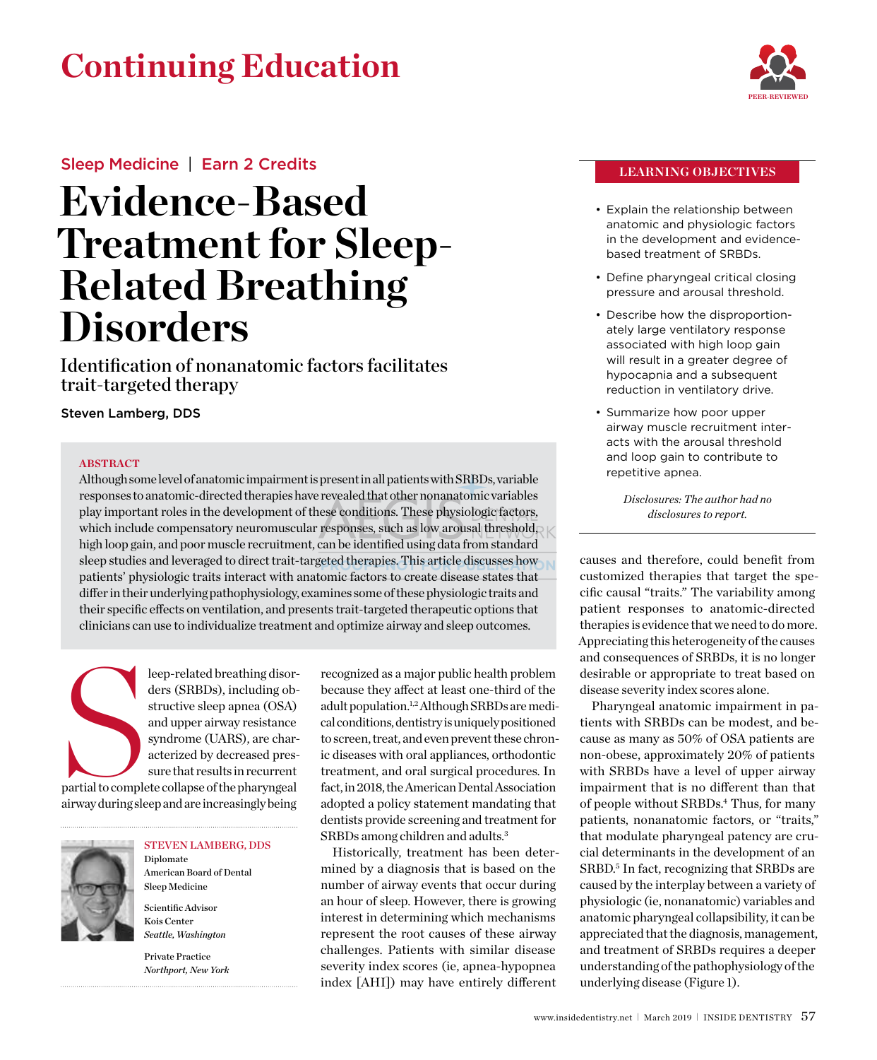## **Continuing Education**



### Sleep Medicine | Earn 2 Credits

# **Evidence-Based Treatment for Sleep-Related Breathing Disorders**

Identification of nonanatomic factors facilitates trait-targeted therapy

Steven Lamberg, DDS

#### **ABSTRACT**

Although some level of anatomic impairment is present in all patients with SRBDs, variable responses to anatomic-directed therapies have revealed that other nonanatomic variables play important roles in the development of these conditions. These physiologic factors, which include compensatory neuromuscular responses, such as low arousal threshold, high loop gain, and poor muscle recruitment, can be identified using data from standard sleep studies and leveraged to direct trait-targeted therapies. This article discusses how **R** patients' physiologic traits interact with anatomic factors to create disease states that differ in their underlying pathophysiology, examines some of these physiologic traits and their specific effects on ventilation, and presents trait-targeted therapeutic options that clinicians can use to individualize treatment and optimize airway and sleep outcomes.

Partial to comple leep-related breathing disorders (SRBDs), including obstructive sleep apnea (OSA) and upper airway resistance syndrome (UARS), are characterized by decreased pressure that results in recurrent partial to complete collapse of the pharyngeal airway during sleep and are increasingly being



#### Steven Lamberg, DDS

American Board of Dental Sleep Medicine Scientific Advisor

Diplomate

Kois Center *Seattle, Washington* Private Practice

*Northport, New York*

recognized as a major public health problem because they affect at least one-third of the adult population.1,2 Although SRBDs are medical conditions, dentistry is uniquely positioned to screen, treat, and even prevent these chronic diseases with oral appliances, orthodontic treatment, and oral surgical procedures. In fact, in 2018, the American Dental Association adopted a policy statement mandating that dentists provide screening and treatment for SRBDs among children and adults.3

Historically, treatment has been determined by a diagnosis that is based on the number of airway events that occur during an hour of sleep. However, there is growing interest in determining which mechanisms represent the root causes of these airway challenges. Patients with similar disease severity index scores (ie, apnea-hypopnea index [AHI]) may have entirely different

#### **Learning Objectives**

- Explain the relationship between anatomic and physiologic factors in the development and evidencebased treatment of SRBDs.
- Define pharyngeal critical closing pressure and arousal threshold.
- Describe how the disproportionately large ventilatory response associated with high loop gain will result in a greater degree of hypocapnia and a subsequent reduction in ventilatory drive.
- • Summarize how poor upper airway muscle recruitment interacts with the arousal threshold and loop gain to contribute to repetitive apnea.

*Disclosures: The author had no disclosures to report.*

causes and therefore, could benefit from customized therapies that target the specific causal "traits." The variability among patient responses to anatomic-directed therapies is evidence that we need to do more. Appreciating this heterogeneity of the causes and consequences of SRBDs, it is no longer desirable or appropriate to treat based on disease severity index scores alone.

Pharyngeal anatomic impairment in patients with SRBDs can be modest, and because as many as 50% of OSA patients are non-obese, approximately 20% of patients with SRBDs have a level of upper airway impairment that is no different than that of people without SRBDs.4 Thus, for many patients, nonanatomic factors, or "traits," that modulate pharyngeal patency are crucial determinants in the development of an SRBD. <sup>5</sup> In fact, recognizing that SRBDs are caused by the interplay between a variety of physiologic (ie, nonanatomic) variables and anatomic pharyngeal collapsibility, it can be appreciated that the diagnosis, management, and treatment of SRBDs requires a deeper understanding of the pathophysiology of the underlying disease (Figure 1).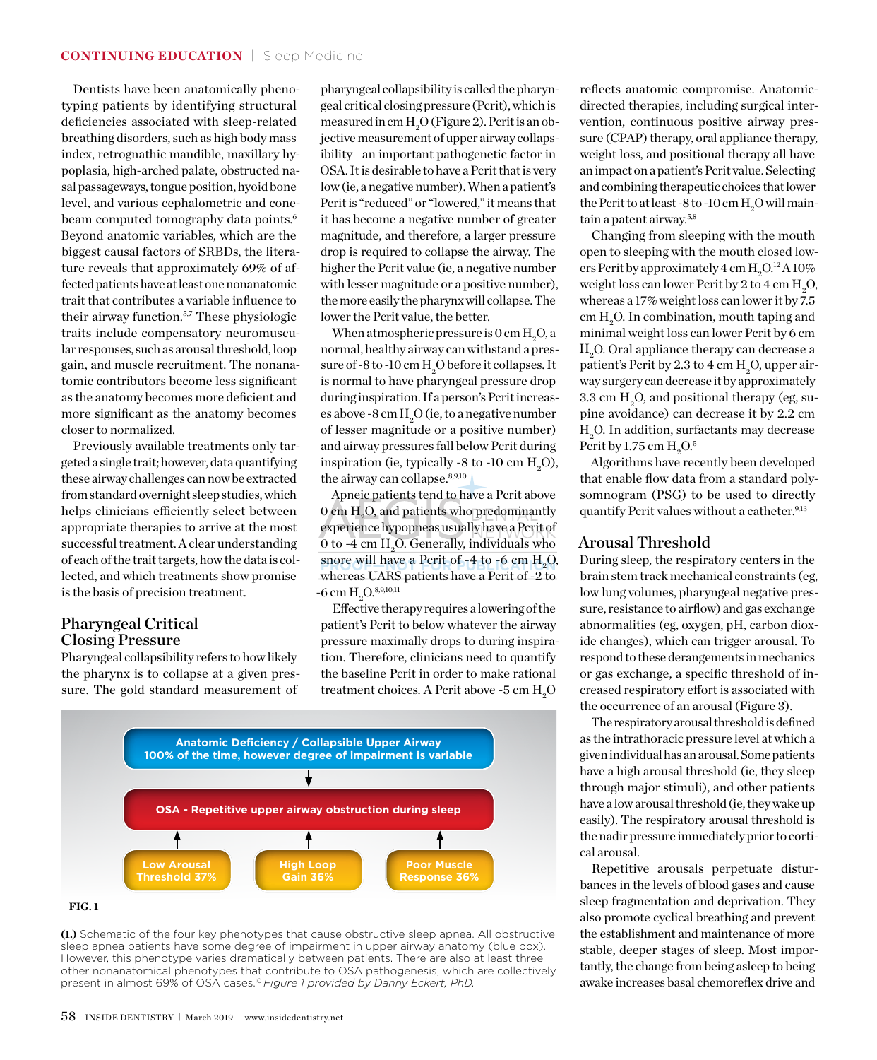Dentists have been anatomically phenotyping patients by identifying structural deficiencies associated with sleep-related breathing disorders, such as high body mass index, retrognathic mandible, maxillary hypoplasia, high-arched palate, obstructed nasal passageways, tongue position, hyoid bone level, and various cephalometric and conebeam computed tomography data points.<sup>6</sup> Beyond anatomic variables, which are the biggest causal factors of SRBDs, the literature reveals that approximately 69% of affected patients have at least one nonanatomic trait that contributes a variable influence to their airway function.5,7 These physiologic traits include compensatory neuromuscular responses, such as arousal threshold, loop gain, and muscle recruitment. The nonanatomic contributors become less significant as the anatomy becomes more deficient and more significant as the anatomy becomes closer to normalized.

Previously available treatments only targeted a single trait; however, data quantifying these airway challenges can now be extracted from standard overnight sleep studies, which helps clinicians efficiently select between appropriate therapies to arrive at the most successful treatment. A clear understanding of each of the trait targets, how the data is collected, and which treatments show promise is the basis of precision treatment.

#### Pharyngeal Critical Closing Pressure

Pharyngeal collapsibility refers to how likely the pharynx is to collapse at a given pressure. The gold standard measurement of

pharyngeal collapsibility is called the pharyngeal critical closing pressure (Pcrit), which is measured in cm  $\rm H_2O$  (Figure 2). Pcrit is an objective measurement of upper airway collapsibility—an important pathogenetic factor in OSA. It is desirable to have a Pcrit that is very low (ie, a negative number). When a patient's Pcrit is "reduced" or "lowered," it means that it has become a negative number of greater magnitude, and therefore, a larger pressure drop is required to collapse the airway. The higher the Pcrit value (ie, a negative number with lesser magnitude or a positive number), the more easily the pharynx will collapse. The lower the Pcrit value, the better.

When atmospheric pressure is  $0 \text{ cm H}_2\text{O}$ , a normal, healthy airway can withstand a pressure of -8 to -10 cm  $\rm H_2O$  before it collapses. It is normal to have pharyngeal pressure drop during inspiration. If a person's Pcrit increases above -8 cm  $\rm H_2O$  (ie, to a negative number of lesser magnitude or a positive number) and airway pressures fall below Pcrit during inspiration (ie, typically -8 to -10 cm  $\rm H_2O$ ), the airway can collapse.<sup>8,9,10</sup>

Apneic patients tend to have a Pcrit above  $0$  cm  $\rm H_2O$  and patients who predominantly experience hypopneas usually have a Pcrit of 0 to -4 cm  $\rm H_2O.$  Generally, individuals who snore will have a Pcrit of  $-4$  to  $-6$  cm  $H_2O$ , whereas UARS patients have a Pcrit of -2 to  $-6 \text{ cm H}_2\text{O}^{8,9,10,11}$ 

Effective therapy requires a lowering of the patient's Pcrit to below whatever the airway pressure maximally drops to during inspiration. Therefore, clinicians need to quantify the baseline Pcrit in order to make rational treatment choices. A Pcrit above -5 cm  $\rm H_2O$ 







reflects anatomic compromise. Anatomicdirected therapies, including surgical intervention, continuous positive airway pressure (CPAP) therapy, oral appliance therapy, weight loss, and positional therapy all have an impact on a patient's Pcrit value. Selecting and combining therapeutic choices that lower the Pcrit to at least -8 to -10 cm  $\rm H_2O$  will maintain a patent airway.5,8

Changing from sleeping with the mouth open to sleeping with the mouth closed lowers Pcrit by approximately  $4 \text{ cm H}_2\text{O}^{12}\text{A}10\%$ weight loss can lower Pcrit by 2 to 4 cm  $\rm H_2O$ , whereas a 17% weight loss can lower it by 7.5 cm  $\rm H_2O.$  In combination, mouth taping and minimal weight loss can lower Pcrit by 6 cm  $\rm H_{2}O$ . Oral appliance therapy can decrease a patient's Pcrit by 2.3 to 4 cm  $\rm H_2O$ , upper airway surgery can decrease it by approximately  $3.3 \text{ cm H}_2\text{O}$ , and positional therapy (eg, supine avoidance) can decrease it by 2.2 cm  $\rm H_2O.$  In addition, surfactants may decrease Pcrit by 1.75 cm  $\rm H_2O^{5}$ 

Algorithms have recently been developed that enable flow data from a standard polysomnogram (PSG) to be used to directly quantify Pcrit values without a catheter.<sup>9,13</sup>

#### Arousal Threshold

During sleep, the respiratory centers in the brain stem track mechanical constraints (eg, low lung volumes, pharyngeal negative pressure, resistance to airflow) and gas exchange abnormalities (eg, oxygen, pH, carbon dioxide changes), which can trigger arousal. To respond to these derangements in mechanics or gas exchange, a specific threshold of increased respiratory effort is associated with the occurrence of an arousal (Figure 3).

The respiratory arousal threshold is defined as the intrathoracic pressure level at which a given individual has an arousal. Some patients have a high arousal threshold (ie, they sleep through major stimuli), and other patients have a low arousal threshold (ie, they wake up easily). The respiratory arousal threshold is the nadir pressure immediately prior to cortical arousal.

Repetitive arousals perpetuate disturbances in the levels of blood gases and cause sleep fragmentation and deprivation. They also promote cyclical breathing and prevent the establishment and maintenance of more stable, deeper stages of sleep. Most importantly, the change from being asleep to being awake increases basal chemoreflex drive and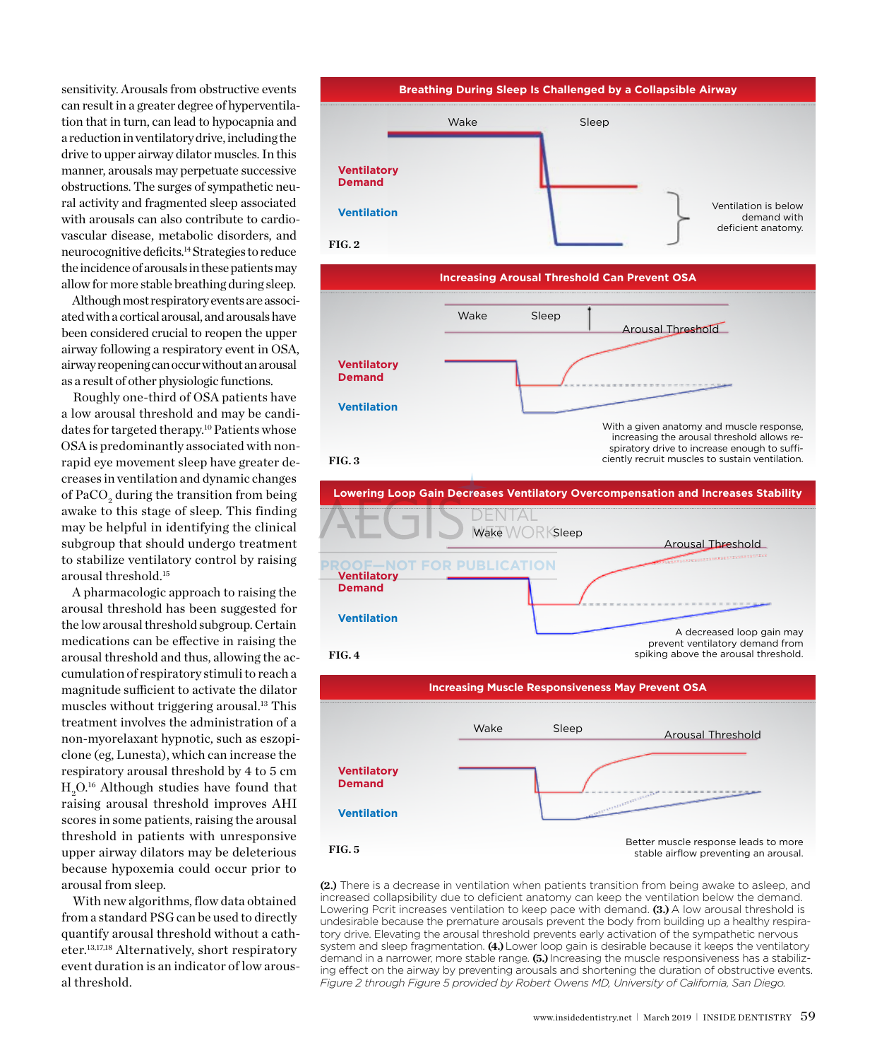sensitivity. Arousals from obstructive events can result in a greater degree of hyperventilation that in turn, can lead to hypocapnia and a reduction in ventilatory drive, including the drive to upper airway dilator muscles. In this manner, arousals may perpetuate successive obstructions. The surges of sympathetic neural activity and fragmented sleep associated with arousals can also contribute to cardiovascular disease, metabolic disorders, and neurocognitive deficits.14 Strategies to reduce the incidence of arousals in these patients may allow for more stable breathing during sleep.

Although most respiratory events are associated with a cortical arousal, and arousals have been considered crucial to reopen the upper airway following a respiratory event in OSA, airway reopening can occur without an arousal as a result of other physiologic functions.

Roughly one-third of OSA patients have a low arousal threshold and may be candidates for targeted therapy.10 Patients whose OSA is predominantly associated with nonrapid eye movement sleep have greater decreases in ventilation and dynamic changes of PaCO $_{\rm 2}$  during the transition from being awake to this stage of sleep. This finding may be helpful in identifying the clinical subgroup that should undergo treatment to stabilize ventilatory control by raising arousal threshold.15

A pharmacologic approach to raising the arousal threshold has been suggested for the low arousal threshold subgroup. Certain medications can be effective in raising the arousal threshold and thus, allowing the accumulation of respiratory stimuli to reach a magnitude sufficient to activate the dilator muscles without triggering arousal.13 This treatment involves the administration of a non-myorelaxant hypnotic, such as eszopiclone (eg, Lunesta), which can increase the respiratory arousal threshold by 4 to 5 cm  $\rm H_2O^{16}$  Although studies have found that raising arousal threshold improves AHI scores in some patients, raising the arousal threshold in patients with unresponsive upper airway dilators may be deleterious because hypoxemia could occur prior to arousal from sleep.

With new algorithms, flow data obtained from a standard PSG can be used to directly quantify arousal threshold without a catheter.13,17,18 Alternatively, short respiratory event duration is an indicator of low arousal threshold.









**(2.)** There is a decrease in ventilation when patients transition from being awake to asleep, and increased collapsibility due to deficient anatomy can keep the ventilation below the demand. Lowering Pcrit increases ventilation to keep pace with demand. **(3.)** A low arousal threshold is undesirable because the premature arousals prevent the body from building up a healthy respiratory drive. Elevating the arousal threshold prevents early activation of the sympathetic nervous system and sleep fragmentation. **(4.)** Lower loop gain is desirable because it keeps the ventilatory demand in a narrower, more stable range. **(5.)** Increasing the muscle responsiveness has a stabilizing effect on the airway by preventing arousals and shortening the duration of obstructive events. *Figure 2 through Figure 5 provided by Robert Owens MD, University of California, San Diego.*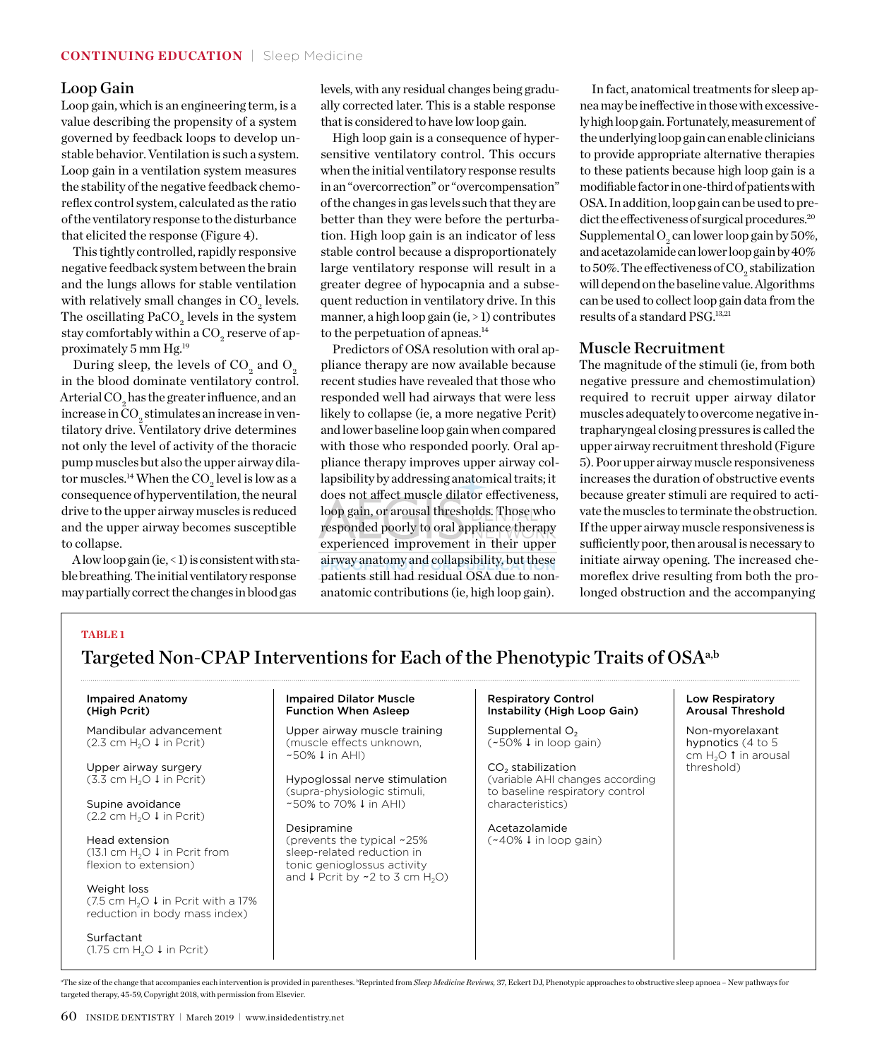#### Loop Gain

Loop gain, which is an engineering term, is a value describing the propensity of a system governed by feedback loops to develop unstable behavior. Ventilation is such a system. Loop gain in a ventilation system measures the stability of the negative feedback chemoreflex control system, calculated as the ratio of the ventilatory response to the disturbance that elicited the response (Figure 4).

This tightly controlled, rapidly responsive negative feedback system between the brain and the lungs allows for stable ventilation with relatively small changes in  $\mathrm{CO}_2$  levels. The oscillating  $\text{PaCO}_2$  levels in the system stay comfortably within a  $\mathrm{CO}_2$  reserve of approximately 5 mm Hg.19

During sleep, the levels of  $\mathrm{CO}_2^{\scriptscriptstyle{}}$  and  $\mathrm{O}_2^{\scriptscriptstyle{}}$ in the blood dominate ventilatory control. Arterial CO<sub>2</sub> has the greater influence, and an increase in CO $_{\textrm{\tiny{2}}}$ stimulates an increase in ventilatory drive. Ventilatory drive determines not only the level of activity of the thoracic pump muscles but also the upper airway dilator muscles.<sup>14</sup> When the  $\mathrm{CO}_2$  level is low as a consequence of hyperventilation, the neural drive to the upper airway muscles is reduced and the upper airway becomes susceptible to collapse.

A low loop gain (ie,  $\leq$  1) is consistent with stable breathing. The initial ventilatory response may partially correct the changes in blood gas

levels, with any residual changes being gradually corrected later. This is a stable response that is considered to have low loop gain.

High loop gain is a consequence of hypersensitive ventilatory control. This occurs when the initial ventilatory response results in an "overcorrection" or "overcompensation" of the changes in gas levels such that they are better than they were before the perturbation. High loop gain is an indicator of less stable control because a disproportionately large ventilatory response will result in a greater degree of hypocapnia and a subsequent reduction in ventilatory drive. In this manner, a high loop gain (ie, > 1) contributes to the perpetuation of apneas.<sup>14</sup>

Predictors of OSA resolution with oral appliance therapy are now available because recent studies have revealed that those who responded well had airways that were less likely to collapse (ie, a more negative Pcrit) and lower baseline loop gain when compared with those who responded poorly. Oral appliance therapy improves upper airway collapsibility by addressing anatomical traits; it does not affect muscle dilator effectiveness, loop gain, or arousal thresholds. Those who responded poorly to oral appliance therapy experienced improvement in their upper airway anatomy and collapsibility, but these patients still had residual OSA due to nonanatomic contributions (ie, high loop gain).

In fact, anatomical treatments for sleep apnea may be ineffective in those with excessively high loop gain. Fortunately, measurement of the underlying loop gain can enable clinicians to provide appropriate alternative therapies to these patients because high loop gain is a modifiable factor in one-third of patients with OSA. In addition, loop gain can be used to predict the effectiveness of surgical procedures.20 Supplemental  $\mathrm{O}_2$  can lower loop gain by 50%, and acetazolamide can lower loop gain by 40% to 50%. The effectiveness of  $\mathrm{CO}_2$  stabilization will depend on the baseline value. Algorithms can be used to collect loop gain data from the results of a standard PSG. 13,21

#### Muscle Recruitment

The magnitude of the stimuli (ie, from both negative pressure and chemostimulation) required to recruit upper airway dilator muscles adequately to overcome negative intrapharyngeal closing pressures is called the upper airway recruitment threshold (Figure 5). Poor upper airway muscle responsiveness increases the duration of obstructive events because greater stimuli are required to activate the muscles to terminate the obstruction. If the upper airway muscle responsiveness is sufficiently poor, then arousal is necessary to initiate airway opening. The increased chemoreflex drive resulting from both the prolonged obstruction and the accompanying

### **Table 1**

### Targeted Non-CPAP Interventions for Each of the Phenotypic Traits of OSA<sup>a,b</sup>

#### Impaired Anatomy (High Pcrit)

Mandibular advancement (2.3 cm  $H_2O \downarrow$  in Pcrit)

Upper airway surgery (3.3 cm  $H_2O \downarrow$  in Pcrit)

Supine avoidance (2.2 cm  $H_2O \downarrow$  in Pcrit)

Head extension (13.1 cm  $H_2O \downarrow$  in Pcrit from flexion to extension)

Weight loss (7.5 cm  $H_2O \downarrow$  in Pcrit with a 17% reduction in body mass index)

Surfactant (1.75 cm  $H_2O \downarrow$  in Pcrit)

#### Impaired Dilator Muscle Function When Asleep

Upper airway muscle training (muscle effects unknown,  $~50\%$   $~1$  in AHI)

Hypoglossal nerve stimulation (supra-physiologic stimuli, ~50% to 70% ↓ in AHI)

Desipramine (prevents the typical ~25% sleep-related reduction in tonic genioglossus activity and  $\downarrow$  Pcrit by ~2 to 3 cm H<sub>2</sub>O)

#### Respiratory Control Instability (High Loop Gain)

Supplemental  $O<sub>2</sub>$  $(*50\% \downarrow in loop gain)$ 

 $CO<sub>2</sub>$  stabilization (variable AHI changes according to baseline respiratory control characteristics)

Acetazolamide  $(*40\% \downarrow in loop gain)$ 

#### Low Respiratory Arousal Threshold

Non-myorelaxant hypnotics (4 to 5 cm  $H_2O$  1 in arousal threshold)

<sup>a</sup>The size of the change that accompanies each intervention is provided in parentheses. <sup>b</sup>Reprinted from *Sleep Medicine Reviews,* 37, Eckert DJ, Phenotypic approaches to obstructive sleep apnoea – New pathways for targeted therapy, 45-59, Copyright 2018, with permission from Elsevier.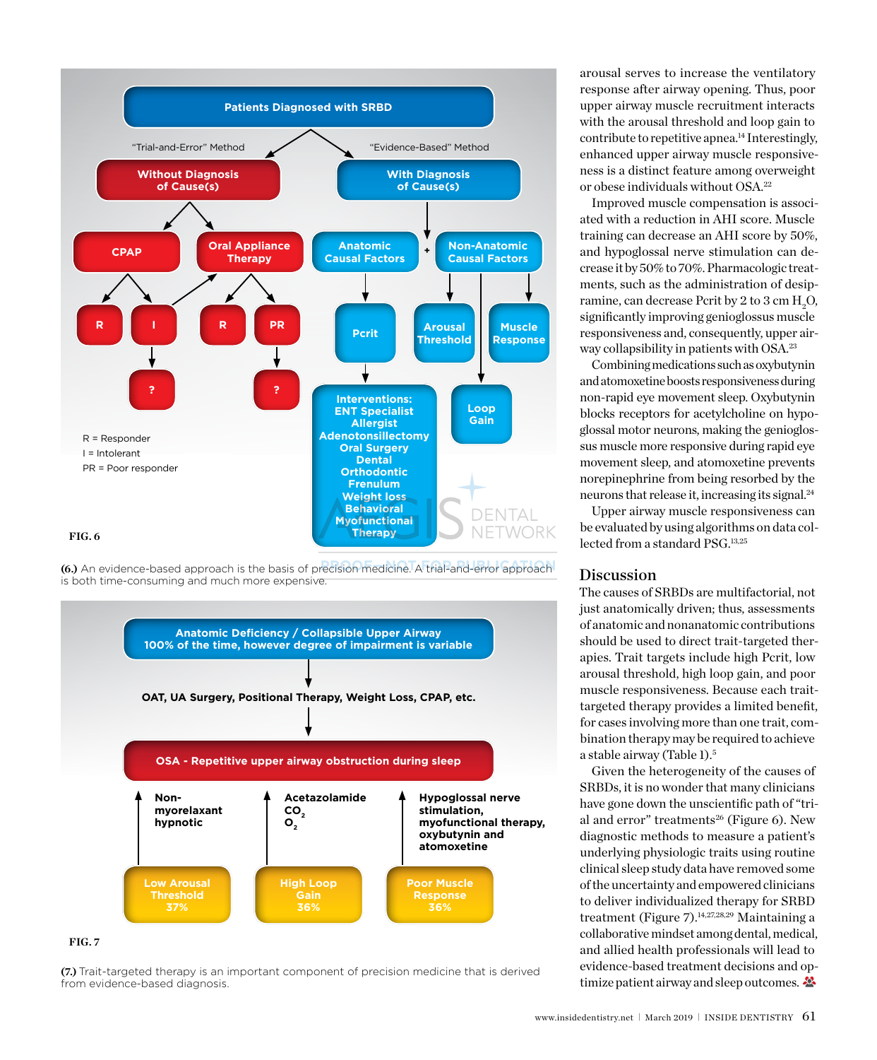

**(6.)** An evidence-based approach is the basis of precision medicine. A trial-and-error approach is both time-consuming and much more expensive.



#### **fig. 7**

**(7.)** Trait-targeted therapy is an important component of precision medicine that is derived from evidence-based diagnosis.

arousal serves to increase the ventilatory response after airway opening. Thus, poor upper airway muscle recruitment interacts with the arousal threshold and loop gain to contribute to repetitive apnea.<sup>14</sup> Interestingly, enhanced upper airway muscle responsiveness is a distinct feature among overweight or obese individuals without OSA.22

Improved muscle compensation is associated with a reduction in AHI score. Muscle training can decrease an AHI score by 50%, and hypoglossal nerve stimulation can decrease it by 50% to 70%. Pharmacologic treatments, such as the administration of desipramine, can decrease Pcrit by 2 to 3 cm  $\rm H_2O$ , significantly improving genioglossus muscle responsiveness and, consequently, upper airway collapsibility in patients with OSA.23

Combining medications such as oxybutynin and atomoxetine boosts responsiveness during non-rapid eye movement sleep. Oxybutynin blocks receptors for acetylcholine on hypoglossal motor neurons, making the genioglossus muscle more responsive during rapid eye movement sleep, and atomoxetine prevents norepinephrine from being resorbed by the neurons that release it, increasing its signal.24

Upper airway muscle responsiveness can be evaluated by using algorithms on data collected from a standard PSG. 13,25

#### Discussion

The causes of SRBDs are multifactorial, not just anatomically driven; thus, assessments of anatomic and nonanatomic contributions should be used to direct trait-targeted therapies. Trait targets include high Pcrit, low arousal threshold, high loop gain, and poor muscle responsiveness. Because each traittargeted therapy provides a limited benefit, for cases involving more than one trait, combination therapy may be required to achieve a stable airway (Table 1).5

Given the heterogeneity of the causes of SRBDs, it is no wonder that many clinicians have gone down the unscientific path of "trial and error" treatments<sup>26</sup> (Figure 6). New diagnostic methods to measure a patient's underlying physiologic traits using routine clinical sleep study data have removed some of the uncertainty and empowered clinicians to deliver individualized therapy for SRBD treatment (Figure 7).14,27,28,29 Maintaining a collaborative mindset among dental, medical, and allied health professionals will lead to evidence-based treatment decisions and optimize patient airway and sleep outcomes.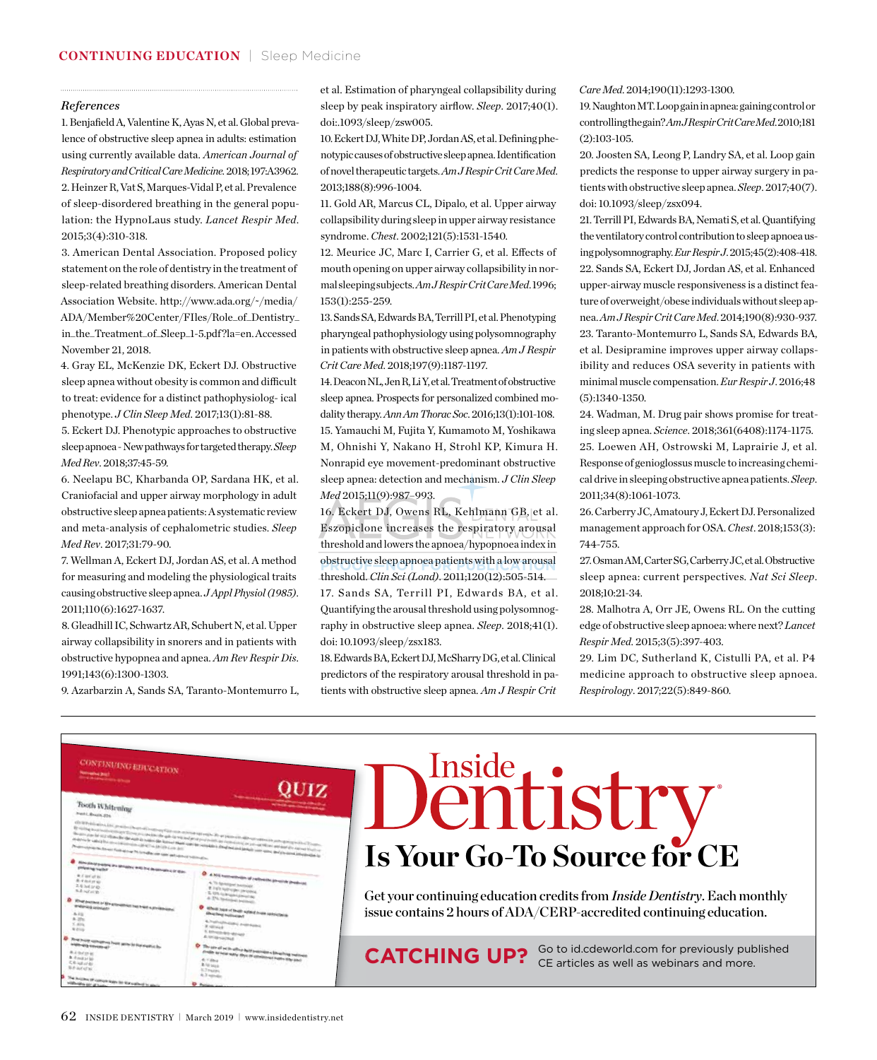#### *References*

1. Benjafield A, Valentine K, Ayas N, et al. Global prevalence of obstructive sleep apnea in adults: estimation using currently available data. *American Journal of Respiratory and Critical Care Medicine.* 2018; 197:A3962. 2. Heinzer R, Vat S, Marques-Vidal P, et al. Prevalence of sleep-disordered breathing in the general population: the HypnoLaus study. *Lancet Respir Med*. 2015;3(4):310-318.

3. American Dental Association. Proposed policy statement on the role of dentistry in the treatment of sleep-related breathing disorders. American Dental Association Website. http://www.ada.org/~/media/ ADA/Member%20Center/FIles/Role\_of\_Dentistry\_ in\_the\_Treatment\_of\_Sleep\_1-5.pdf ?la=en. Accessed November 21, 2018.

4. Gray EL, McKenzie DK, Eckert DJ. Obstructive sleep apnea without obesity is common and difficult to treat: evidence for a distinct pathophysiolog- ical phenotype. *J Clin Sleep Med*. 2017;13(1):81-88.

5. Eckert DJ. Phenotypic approaches to obstructive sleep apnoea - New pathways for targeted therapy. *Sleep Med Rev*. 2018;37:45-59.

6. Neelapu BC, Kharbanda OP, Sardana HK, et al. Craniofacial and upper airway morphology in adult obstructive sleep apnea patients: A systematic review and meta-analysis of cephalometric studies. *Sleep Med Rev*. 2017;31:79-90.

7. Wellman A, Eckert DJ, Jordan AS, et al. A method for measuring and modeling the physiological traits causing obstructive sleep apnea. *J Appl Physiol (1985)*. 2011;110(6):1627-1637.

8. Gleadhill IC, Schwartz AR, Schubert N, et al. Upper airway collapsibility in snorers and in patients with obstructive hypopnea and apnea. *Am Rev Respir Dis*. 1991;143(6):1300-1303.

9. Azarbarzin A, Sands SA, Taranto-Montemurro L,

et al. Estimation of pharyngeal collapsibility during sleep by peak inspiratory airflow. *Sleep*. 2017;40(1). doi:.1093/sleep/zsw005.

10. Eckert DJ, White DP, Jordan AS, et al. Defining phenotypic causes of obstructive sleep apnea. Identification of novel therapeutic targets. *Am J Respir Crit Care Med*. 2013;188(8):996-1004.

11. Gold AR, Marcus CL, Dipalo, et al. Upper airway collapsibility during sleep in upper airway resistance syndrome. *Chest*. 2002;121(5):1531-1540.

12. Meurice JC, Marc I, Carrier G, et al. Effects of mouth opening on upper airway collapsibility in normal sleeping subjects. *Am J Respir Crit Care Med*. 1996; 153(1):255-259.

13. Sands SA, Edwards BA, Terrill PI, et al. Phenotyping pharyngeal pathophysiology using polysomnography in patients with obstructive sleep apnea. *Am J Respir Crit Care Med*. 2018;197(9):1187-1197.

14. Deacon NL, Jen R, Li Y, et al. Treatment of obstructive sleep apnea. Prospects for personalized combined modality therapy. *Ann Am Thorac Soc*. 2016;13(1):101-108. 15. Yamauchi M, Fujita Y, Kumamoto M, Yoshikawa M, Ohnishi Y, Nakano H, Strohl KP, Kimura H. Nonrapid eye movement-predominant obstructive sleep apnea: detection and mechanism. *J Clin Sleep Med* 2015;11(9):987–993.

16. Eckert DJ, Owens RL, Kehlmann GB, et al. Eszopiclone increases the respiratory arousal threshold and lowers the apnoea/hypopnoea index in obstructive sleep apnoea patients with a low arousal threshold. *Clin Sci (Lond)*. 2011;120(12):505-514. 17. Sands SA, Terrill PI, Edwards BA, et al. Quantifying the arousal threshold using polysomnography in obstructive sleep apnea. *Sleep*. 2018;41(1). doi: 10.1093/sleep/zsx183.

18. Edwards BA, Eckert DJ, McSharry DG, et al. Clinical predictors of the respiratory arousal threshold in patients with obstructive sleep apnea. *Am J Respir Crit*  *Care Med*. 2014;190(11):1293-1300.

19. Naughton MT. Loop gain in apnea: gaining control or controlling the gain? *Am J Respir Crit Care Med*. 2010;181 (2):103-105.

20. Joosten SA, Leong P, Landry SA, et al. Loop gain predicts the response to upper airway surgery in patients with obstructive sleep apnea. *Sleep*. 2017;40(7). doi: 10.1093/sleep/zsx094.

21. Terrill PI, Edwards BA, Nemati S, et al. Quantifying the ventilatory control contribution to sleep apnoea using polysomnography. *Eur Respir J*. 2015;45(2):408-418. 22. Sands SA, Eckert DJ, Jordan AS, et al. Enhanced upper-airway muscle responsiveness is a distinct feature of overweight/obese individuals without sleep apnea. *Am J Respir Crit Care Med*. 2014;190(8):930-937. 23. Taranto-Montemurro L, Sands SA, Edwards BA, et al. Desipramine improves upper airway collapsibility and reduces OSA severity in patients with minimal muscle compensation. *Eur Respir J*. 2016;48 (5):1340-1350.

24. Wadman, M. Drug pair shows promise for treating sleep apnea. *Science*. 2018;361(6408):1174-1175. 25. Loewen AH, Ostrowski M, Laprairie J, et al. Response of genioglossus muscle to increasing chemical drive in sleeping obstructive apnea patients. *Sleep*. 2011;34(8):1061-1073.

26. Carberry JC, Amatoury J, Eckert DJ. Personalized management approach for OSA. *Chest*. 2018;153(3): 744-755.

27. Osman AM, Carter SG, Carberry JC, et al. Obstructive sleep apnea: current perspectives. *Nat Sci Sleep*. 2018;10:21-34.

28. Malhotra A, Orr JE, Owens RL. On the cutting edge of obstructive sleep apnoea: where next? *Lancet Respir Med*. 2015;3(5):397-403.

29. Lim DC, Sutherland K, Cistulli PA, et al. P4 medicine approach to obstructive sleep apnoea. *Respirology*. 2017;22(5):849-860.

| <b>CONTINUING EDUCATION</b><br><u> Allian Maria de la Ca</u>                                                                                                                                                                                                                                                                                                                                                                                                                                                                                                                                   |                                                                                                                                                                                                                                                                                                                                                                                                                                                                                                                                                                                                                                                                                                                                             | Inside                                                                                                                                                                                                   |
|------------------------------------------------------------------------------------------------------------------------------------------------------------------------------------------------------------------------------------------------------------------------------------------------------------------------------------------------------------------------------------------------------------------------------------------------------------------------------------------------------------------------------------------------------------------------------------------------|---------------------------------------------------------------------------------------------------------------------------------------------------------------------------------------------------------------------------------------------------------------------------------------------------------------------------------------------------------------------------------------------------------------------------------------------------------------------------------------------------------------------------------------------------------------------------------------------------------------------------------------------------------------------------------------------------------------------------------------------|----------------------------------------------------------------------------------------------------------------------------------------------------------------------------------------------------------|
| Tooth Whitening<br><b>Ment L. Rowell, One</b><br>the same prior of 2.2 of them that the most in custod the former threat coupl to restraints a distributed models your name and processes.<br>where is said the monitorization of all a strict into the<br>Photomorphic dia farmer Ford Minister 76 to Editor not tant auto photography<br>O show more panyle are schools with the assumption of their<br>4. Find of by<br>R. & Jack or ac.<br>2. 6 Just or an<br>A A hat at to<br>C What percent of the procession has tried a professor<br>A. U.S.<br><b>K.299</b><br>5.435<br><b>B Glos</b> | all definition and the process channel company law man market to explicit the phone in all the stress or put of a party of<br>constitutions of the control of the police of the police of the police of the control of the control of the control of the police of the control of the control of the control of the control of the control of the control of<br>O A 501 commencion of carbonicle pressure producer<br>A 10 Seminated percent<br><b>B. Jack Sullman perman</b><br><b>C. Mit Auditions Associate</b><br>A 27% hadissimi parents<br>A HOME base of least world it may predictative<br><b><i><u>Search College Inc.</u></i></b><br>A. Post-school and a members of<br><b>B. Milledell</b><br>Chromosomewana<br>A series contact | enusur<br><b>Is Your Go-To Source for CE</b><br>Get your continuing education credits from <i>Inside Dentistry</i> . Each monthly<br>issue contains 2 hours of ADA/CERP-accredited continuing education. |
| O How many competent from grow to the sheetist in<br><b>B. J. God va a</b><br>R 4 mil of br<br><b>S.Kingarier</b><br><b>BRAKUTE</b><br>Portchess of contom Stays for the portland                                                                                                                                                                                                                                                                                                                                                                                                              | O The use of an in affice light provides a blue-long metur<br>please to belie temp days of continuous home tray and<br>R. Strategie<br>$2.3$ mainless<br>B. T. monato                                                                                                                                                                                                                                                                                                                                                                                                                                                                                                                                                                       | Go to id.cdeworld.com for previously published<br><b>CATCHING UP?</b><br>CE articles as well as webinars and more.                                                                                       |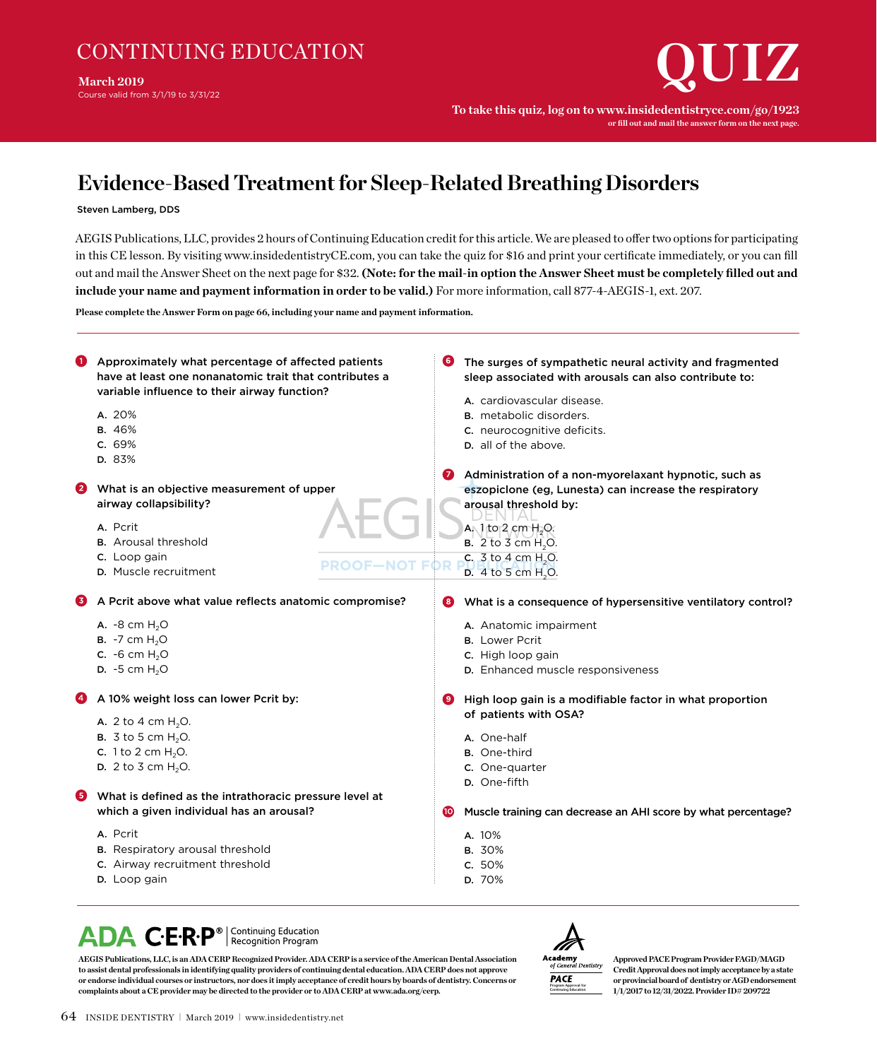**March 2019**

Course valid from 3/1/19 to 3/31/22

**To take this quiz, log on to www.insidedentistryce.com/go/1923 or fill out and mail the answer form on the next page.**

## **Evidence-Based Treatment for Sleep-Related Breathing Disorders**

#### Steven Lamberg, DDS

AEGIS Publications, LLC, provides 2 hours of Continuing Education credit for this article. We are pleased to offer two options for participating in this CE lesson. By visiting www.insidedentistryCE.com, you can take the quiz for \$16 and print your certificate immediately, or you can fill out and mail the Answer Sheet on the next page for \$32. **(Note: for the mail-in option the Answer Sheet must be completely filled out and include your name and payment information in order to be valid.)** For more information, call 877-4-AEGIS-1, ext. 207.

**Please complete the Answer Form on page 66, including your name and payment information.**

| o | Approximately what percentage of affected patients<br>have at least one nonanatomic trait that contributes a<br>variable influence to their airway function?<br>A. 20%<br><b>B.</b> 46%<br>C. 69%<br>D. 83%              |       | The surges of sympathetic neural activity and fragmented<br>sleep associated with arousals can also contribute to:<br>A. cardiovascular disease.<br><b>B.</b> metabolic disorders.<br>C. neurocognitive deficits.<br>D. all of the above.                                                                     |
|---|--------------------------------------------------------------------------------------------------------------------------------------------------------------------------------------------------------------------------|-------|---------------------------------------------------------------------------------------------------------------------------------------------------------------------------------------------------------------------------------------------------------------------------------------------------------------|
| 2 | What is an objective measurement of upper<br>airway collapsibility?<br>A. Pcrit<br><b>B.</b> Arousal threshold<br>C. Loop gain<br><b>PROOF—NOT</b><br>D. Muscle recruitment                                              |       | Administration of a non-myorelaxant hypnotic, such as<br>eszopiclone (eg, Lunesta) can increase the respiratory<br>arousal threshold by:<br>A <sub>N</sub> 1to <sub>2</sub> cm H <sub>2</sub> O.<br><b>B.</b> 2 to 3 cm H <sub>2</sub> O.<br>c. 3 to 4 cm H <sub>2</sub> O.<br>D. 4 to 5 cm H <sub>2</sub> O. |
| 6 | A Pcrit above what value reflects anatomic compromise?<br>A. $-8$ cm $H_2O$<br><b>B.</b> $-7$ cm $H_2O$<br><b>c.</b> -6 cm $H_2O$<br>$D. -5$ cm $H2O$                                                                    | 8     | What is a consequence of hypersensitive ventilatory control?<br>A. Anatomic impairment<br><b>B.</b> Lower Pcrit<br>C. High loop gain<br>D. Enhanced muscle responsiveness                                                                                                                                     |
| 6 | A 10% weight loss can lower Pcrit by:<br>A. 2 to 4 cm $H_2O$ .<br><b>B.</b> 3 to 5 cm $H_2O$ .<br><b>c.</b> 1 to 2 cm $H_2O$ .<br><b>D.</b> 2 to 3 cm $H_2O$ .<br>What is defined as the intrathoracic pressure level at | ( 9 ) | High loop gain is a modifiable factor in what proportion<br>of patients with OSA?<br>A. One-half<br><b>B.</b> One-third<br>c. One-quarter<br>D. One-fifth                                                                                                                                                     |
|   | which a given individual has an arousal?<br>A. Pcrit<br>B. Respiratory arousal threshold<br>C. Airway recruitment threshold<br>D. Loop gain                                                                              | (10)  | Muscle training can decrease an AHI score by what percentage?<br>A. 10%<br><b>B.</b> 30%<br>c. 50%<br>D. 70%                                                                                                                                                                                                  |

## ADA C.E.R.P<sup>®</sup> Recognition Program

A **Academy**<br>of General Dentistry **PACE** 

**Continuing Education**

**Approved PACEProgram Provider FAGD/MAGD Credit Approval does not imply acceptance by a state or provincial board of dentistry or AGD endorsement 1/1/2017 to 12/31/2022. Provider ID# 209722**